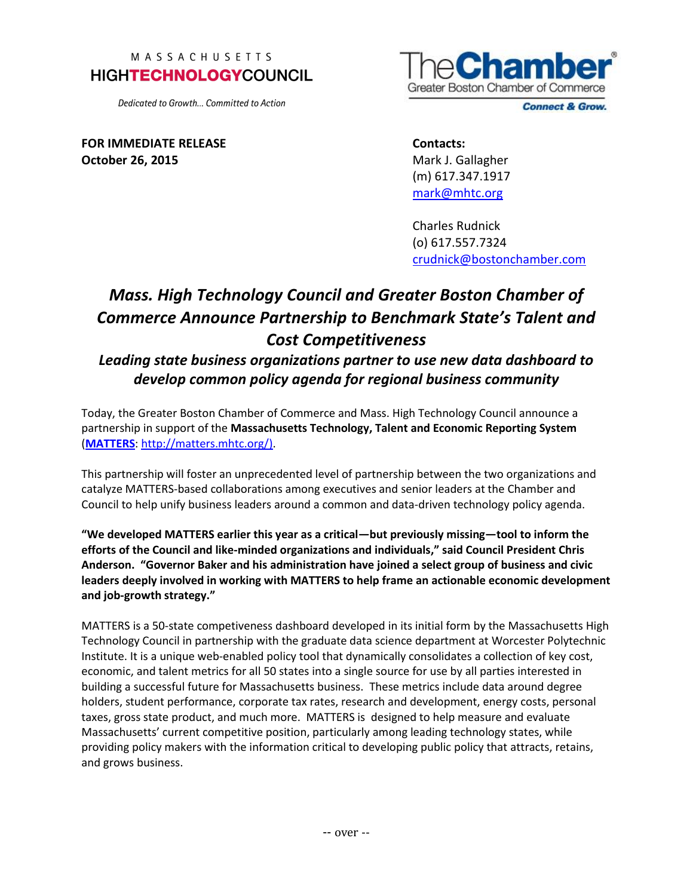## MASSACHUSETTS **HIGHTECHNOLOGYCOUNCIL**

Dedicated to Growth... Committed to Action



**Connect & Grow.** 

**FOR IMMEDIATE RELEASE October 26, 2015**

**Contacts:** Mark J. Gallagher (m) 617.347.1917 [mark@mhtc.org](mailto:chris@mhtc.org)

Charles Rudnick (o) 617.557.7324 crudnick@bostonchamber.com

## *Mass. High Technology Council and Greater Boston Chamber of Commerce Announce Partnership to Benchmark State's Talent and Cost Competitiveness*

*Leading state business organizations partner to use new data dashboard to develop common policy agenda for regional business community*

Today, the Greater Boston Chamber of Commerce and Mass. High Technology Council announce a partnership in support of the **Massachusetts Technology, Talent and Economic Reporting System**  (**[MATTERS](http://matters.mhtc.org/)**[: http://matters.mhtc.org/\).](http://matters.mhtc.org/))

This partnership will foster an unprecedented level of partnership between the two organizations and catalyze MATTERS-based collaborations among executives and senior leaders at the Chamber and Council to help unify business leaders around a common and data-driven technology policy agenda.

**"We developed MATTERS earlier this year as a critical—but previously missing—tool to inform the efforts of the Council and like-minded organizations and individuals," said Council President Chris Anderson. "Governor Baker and his administration have joined a select group of business and civic leaders deeply involved in working with MATTERS to help frame an actionable economic development and job-growth strategy."**

MATTERS is a 50-state competiveness dashboard developed in its initial form by the Massachusetts High Technology Council in partnership with the graduate data science department at Worcester Polytechnic Institute. It is a unique web-enabled policy tool that dynamically consolidates a collection of key cost, economic, and talent metrics for all 50 states into a single source for use by all parties interested in building a successful future for Massachusetts business. These metrics include data around degree holders, student performance, corporate tax rates, research and development, energy costs, personal taxes, gross state product, and much more. MATTERS is designed to help measure and evaluate Massachusetts' current competitive position, particularly among leading technology states, while providing policy makers with the information critical to developing public policy that attracts, retains, and grows business.